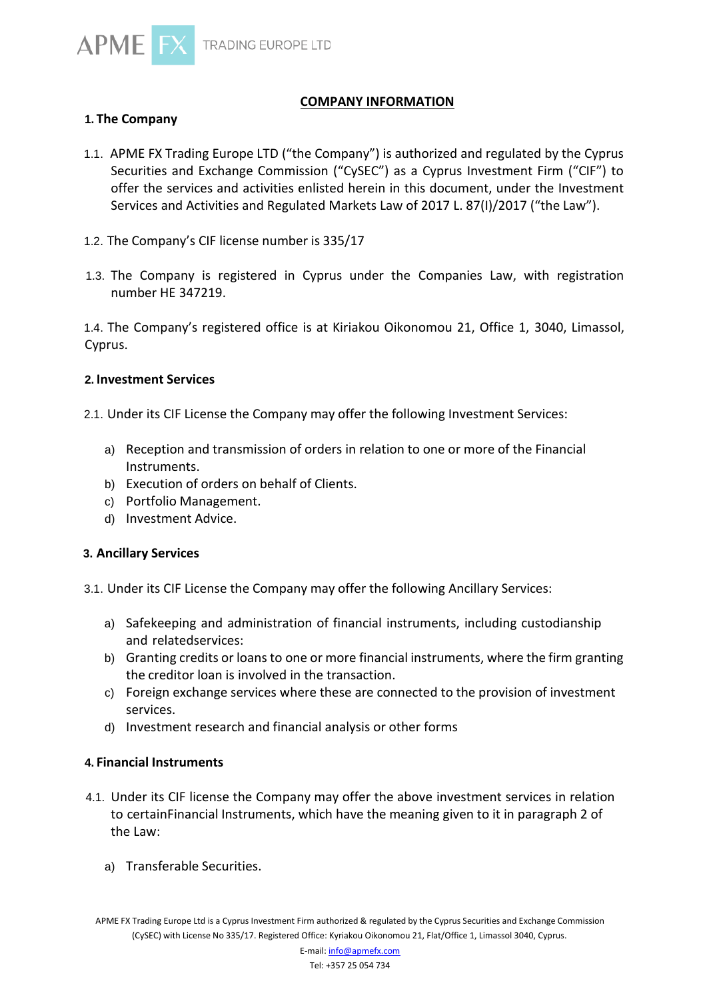

# **COMPANY INFORMATION**

# **1. The Company**

- 1.1. APME FX Trading Europe LTD ("the Company") is authorized and regulated by the Cyprus Securities and Exchange Commission ("CySEC") as a Cyprus Investment Firm ("CIF") to offer the services and activities enlisted herein in this document, under the Investment Services and Activities and Regulated Markets Law of 2017 L. 87(I)/2017 ("the Law").
- 1.2. The Company's CIF license number is 335/17
- 1.3. The Company is registered in Cyprus under the Companies Law, with registration number HE 347219.

1.4. The Company's registered office is at Kiriakou Oikonomou 21, Office 1, 3040, Limassol, Cyprus.

### **2. Investment Services**

2.1. Under its CIF License the Company may offer the following Investment Services:

- a) Reception and transmission of orders in relation to one or more of the Financial Instruments.
- b) Execution of orders on behalf of Clients.
- c) Portfolio Management.
- d) Investment Advice.

## **3. Ancillary Services**

3.1. Under its CIF License the Company may offer the following Ancillary Services:

- a) Safekeeping and administration of financial instruments, including custodianship and relatedservices:
- b) Granting credits or loans to one or more financial instruments, where the firm granting the creditor loan is involved in the transaction.
- c) Foreign exchange services where these are connected to the provision of investment services.
- d) Investment research and financial analysis or other forms

## **4. Financial Instruments**

- 4.1. Under its CIF license the Company may offer the above investment services in relation to certainFinancial Instruments, which have the meaning given to it in paragraph 2 of the Law:
	- a) Transferable Securities.

APME FX Trading Europe Ltd is a Cyprus Investment Firm authorized & regulated by the Cyprus Securities and Exchange Commission (CySEC) with License No 335/17. Registered Office: Kyriakou Oikonomou 21, Flat/Office 1, Limassol 3040, Cyprus.